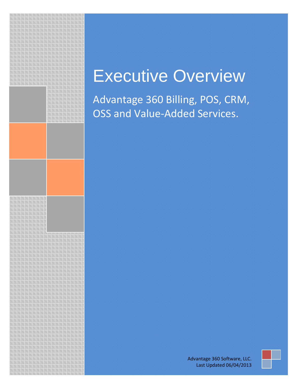# Executive Overview

Advantage 360 Billing, POS, CRM, OSS and Value-Added Services.

> Advantage 360 Software, LLC. Last Updated 06/04/2013

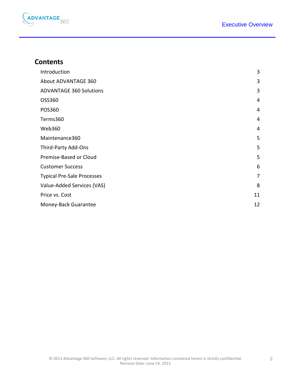

#### **Contents**

| Introduction                      | 3              |
|-----------------------------------|----------------|
| About ADVANTAGE 360               | 3              |
| <b>ADVANTAGE 360 Solutions</b>    | 3              |
| OSS360                            | 4              |
| POS360                            | 4              |
| Terms360                          | 4              |
| Web360                            | 4              |
| Maintenance360                    | 5              |
| Third-Party Add-Ons               | 5              |
| Premise-Based or Cloud            | 5              |
| <b>Customer Success</b>           | 6              |
| <b>Typical Pre-Sale Processes</b> | $\overline{7}$ |
| Value-Added Services (VAS)        | 8              |
| Price vs. Cost                    | 11             |
| Money-Back Guarantee              | 12             |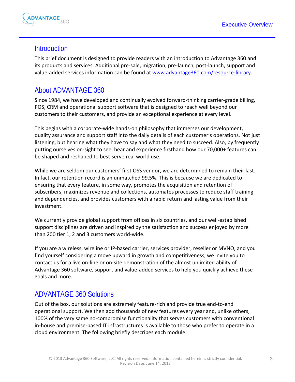

#### <span id="page-2-0"></span>**Introduction**

This brief document is designed to provide readers with an introduction to Advantage 360 and its products and services. Additional pre-sale, migration, pre-launch, post-launch, support and value-added services information can be found at [www.advantage360.com/resource-library.](http://www.advantage360.com/resource-library)

## <span id="page-2-1"></span>About ADVANTAGE 360

Since 1984, we have developed and continually evolved forward-thinking carrier-grade billing, POS, CRM and operational support software that is designed to reach well beyond our customers to their customers, and provide an exceptional experience at every level.

This begins with a corporate-wide hands-on philosophy that immerses our development, quality assurance and support staff into the daily details of each customer's operations. Not just listening, but hearing what they have to say and what they need to succeed. Also, by frequently putting ourselves on-sight to see, hear and experience firsthand how our 70,000+ features can be shaped and reshaped to best-serve real world use.

While we are seldom our customers' first OSS vendor, we are determined to remain their last. In fact, our retention record is an unmatched 99.5%. This is because we are dedicated to ensuring that every feature, in some way, promotes the acquisition and retention of subscribers, maximizes revenue and collections, automates processes to reduce staff training and dependencies, and provides customers with a rapid return and lasting value from their investment.

We currently provide global support from offices in six countries, and our well-established support disciplines are driven and inspired by the satisfaction and success enjoyed by more than 200 tier 1, 2 and 3 customers world-wide.

If you are a wireless, wireline or IP-based carrier, services provider, reseller or MVNO, and you find yourself considering a move upward in growth and competitiveness, we invite you to contact us for a live on-line or on-site demonstration of the almost unlimited ability of Advantage 360 software, support and value-added services to help you quickly achieve these goals and more.

#### <span id="page-2-2"></span>ADVANTAGE 360 Solutions

Out of the box, our solutions are extremely feature-rich and provide true end-to-end operational support. We then add thousands of new features every year and, unlike others, 100% of the very same no-compromise functionality that serves customers with conventional in-house and premise-based IT infrastructures is available to those who prefer to operate in a cloud environment. The following briefly describes each module: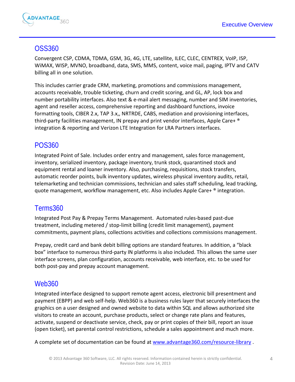

#### <span id="page-3-0"></span>OSS360

Convergent CSP, CDMA, TDMA, GSM, 3G, 4G, LTE, satellite, ILEC, CLEC, CENTREX, VoIP, ISP, WiMAX, WISP, MVNO, broadband, data, SMS, MMS, content, voice mail, paging, IPTV and CATV billing all in one solution.

This includes carrier grade CRM, marketing, promotions and commissions management, accounts receivable, trouble ticketing, churn and credit scoring, and GL, AP, lock box and number portability interfaces. Also text & e-mail alert messaging, number and SIM inventories, agent and reseller access, comprehensive reporting and dashboard functions, invoice formatting tools, CIBER 2.x, TAP 3.x,, NRTRDE, CABS, mediation and provisioning interfaces, third-party facilities management, IN prepay and print vendor interfaces, Apple Care+ ® integration & reporting and Verizon LTE Integration for LRA Partners interfaces.

## <span id="page-3-1"></span>POS360

Integrated Point of Sale. Includes order entry and management, sales force management, inventory, serialized inventory, package inventory, trunk stock, quarantined stock and equipment rental and loaner inventory. Also, purchasing, requisitions, stock transfers, automatic reorder points, bulk inventory updates, wireless physical inventory audits, retail, telemarketing and technician commissions, technician and sales staff scheduling, lead tracking, quote management, workflow management, etc. Also includes Apple Care+ ® integration.

#### <span id="page-3-2"></span>Terms360

Integrated Post Pay & Prepay Terms Management. Automated rules-based past-due treatment, including metered / stop-limit billing (credit limit management), payment commitments, payment plans, collections activities and collections commissions management.

Prepay, credit card and bank debit billing options are standard features. In addition, a "black box" interface to numerous third-party IN platforms is also included. This allows the same user interface screens, plan configuration, accounts receivable, web interface, etc. to be used for both post-pay and prepay account management.

#### <span id="page-3-3"></span>Web360

Integrated interface designed to support remote agent access, electronic bill presentment and payment (EBPP) and web self-help. Web360 is a business rules layer that securely interfaces the graphics on a user designed and owned website to data within SQL and allows authorized site visitors to create an account, purchase products, select or change rate plans and features, activate, suspend or deactivate service, check, pay or print copies of their bill, report an issue (open ticket), set parental control restrictions, schedule a sales appointment and much more.

A complete set of documentation can be found at [www.advantage360.com/resource-library](http://www.advantage360.com/resource-library).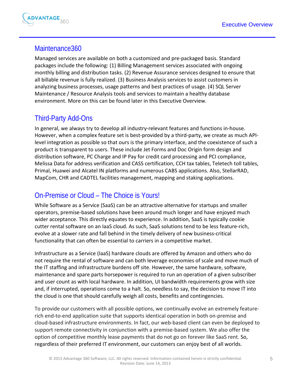

## <span id="page-4-0"></span>Maintenance360

Managed services are available on both a customized and pre-packaged basis. Standard packages include the following: (1) Billing Management services associated with ongoing monthly billing and distribution tasks. (2) Revenue Assurance services designed to ensure that all billable revenue is fully realized. (3) Business Analysis services to assist customers in analyzing business processes, usage patterns and best practices of usage. (4) SQL Server Maintenance / Resource Analysis tools and services to maintain a healthy database environment. More on this can be found later in this Executive Overview.

#### <span id="page-4-1"></span>Third-Party Add-Ons

In general, we always try to develop all industry-relevant features and functions in-house. However, when a complex feature set is best-provided by a third-party, we create as much APIlevel integration as possible so that ours is the primary interface, and the coexistence of such a product is transparent to users. These include Jet Forms and Doc Origin form design and distribution software, PC Charge and IP Pay for credit card processing and PCI compliance, Melissa Data for address verification and CASS certification, CCH tax tables, Teletech toll tables, Primal, Huawei and Alcatel IN platforms and numerous CABS applications. Also, StellarRAD, MapCom, CHR and CADTEL facilities management, mapping and staking applications.

# <span id="page-4-2"></span>On-Premise or Cloud – The Choice is Yours!

While Software as a Service (SaaS) can be an attractive alternative for startups and smaller operators, premise-based solutions have been around much longer and have enjoyed much wider acceptance. This directly equates to experience. In addition, SaaS is typically cookie cutter rental software on an IaaS cloud. As such, SaaS solutions tend to be less feature-rich, evolve at a slower rate and fall behind in the timely delivery of new business-critical functionality that can often be essential to carriers in a competitive market.

Infrastructure as a Service (IaaS) hardware clouds are offered by Amazon and others who do not require the rental of software and can both leverage economies of scale and move much of the IT staffing and infrastructure burdens off site. However, the same hardware, software, maintenance and spare parts horsepower is required to run an operation of a given subscriber and user count as with local hardware. In addition, UI bandwidth requirements grow with size and, if interrupted, operations come to a halt. So, needless to say, the decision to move IT into the cloud is one that should carefully weigh all costs, benefits and contingencies.

To provide our customers with all possible options, we continually evolve an extremely featurerich end-to-end application suite that supports identical operation in both on-premise and cloud-based infrastructure environments. In fact, our web-based client can even be deployed to support remote connectivity in conjunction with a premise-based system. We also offer the option of competitive monthly lease payments that do not go on forever like SaaS rent. So, regardless of their preferred IT environment, our customers can enjoy best of all worlds.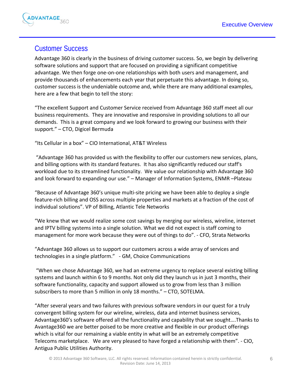

# <span id="page-5-0"></span>Customer Success

Advantage 360 is clearly in the business of driving customer success. So, we begin by delivering software solutions and support that are focused on providing a significant competitive advantage. We then forge one-on-one relationships with both users and management, and provide thousands of enhancements each year that perpetuate this advantage. In doing so, customer success is the undeniable outcome and, while there are many additional examples, here are a few that begin to tell the story:

"The excellent Support and Customer Service received from Advantage 360 staff meet all our business requirements. They are innovative and responsive in providing solutions to all our demands. This is a great company and we look forward to growing our business with their support." – CTO, Digicel Bermuda

"Its Cellular in a box" – CIO International, AT&T Wireless

"Advantage 360 has provided us with the flexibility to offer our customers new services, plans, and billing options with its standard features. It has also significantly reduced our staff's workload due to its streamlined functionality. We value our relationship with Advantage 360 and look forward to expanding our use." – Manager of Information Systems, ENMR –Plateau

"Because of Advantage 360's unique multi-site pricing we have been able to deploy a single feature-rich billing and OSS across multiple properties and markets at a fraction of the cost of individual solutions". VP of Billing, Atlantic Tele Networks

"We knew that we would realize some cost savings by merging our wireless, wireline, internet and IPTV billing systems into a single solution. What we did not expect is staff coming to management for more work because they were out of things to do". - CFO, Strata Networks

"Advantage 360 allows us to support our customers across a wide array of services and technologies in a single platform." - GM, Choice Communications

"When we chose Advantage 360, we had an extreme urgency to replace several existing billing systems and launch within 6 to 9 months. Not only did they launch us in just 3 months, their software functionality, capacity and support allowed us to grow from less than 3 million subscribers to more than 5 million in only 18 months." – CTO, SOTELMA.

"After several years and two failures with previous software vendors in our quest for a truly convergent billing system for our wireline, wireless, data and internet business services, Advantage360's software offered all the functionality and capability that we sought….Thanks to Avantage360 we are better poised to be more creative and flexible in our product offerings which is vital for our remaining a viable entity in what will be an extremely competitive Telecoms marketplace. We are very pleased to have forged a relationship with them". - CIO, Antigua Public Utilities Authority.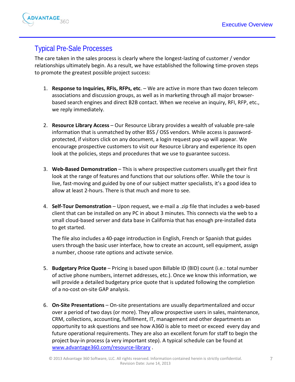

#### <span id="page-6-0"></span>Typical Pre-Sale Processes

The care taken in the sales process is clearly where the longest-lasting of customer / vendor relationships ultimately begin. As a result, we have established the following time-proven steps to promote the greatest possible project success:

- 1. **Response to Inquiries, RFIs, RFPs, etc**. We are active in more than two dozen telecom associations and discussion groups, as well as in marketing through all major browserbased search engines and direct B2B contact. When we receive an inquiry, RFI, RFP, etc., we reply immediately.
- 2. **Resource Library Access** Our Resource Library provides a wealth of valuable pre-sale information that is unmatched by other BSS / OSS vendors. While access is passwordprotected, if visitors click on any document, a login request pop-up will appear. We encourage prospective customers to visit our Resource Library and experience its open look at the policies, steps and procedures that we use to guarantee success.
- 3. **Web-Based Demonstration** This is where prospective customers usually get their first look at the range of features and functions that our solutions offer. While the tour is live, fast-moving and guided by one of our subject matter specialists, it's a good idea to allow at least 2-hours. There is that much and more to see.
- 4. **Self-Tour Demonstration** Upon request, we e-mail a .zip file that includes a web-based client that can be installed on any PC in about 3 minutes. This connects via the web to a small cloud-based server and data base in California that has enough pre-installed data to get started.

The file also includes a 40-page introduction in English, French or Spanish that guides users through the basic user interface, how to create an account, sell equipment, assign a number, choose rate options and activate service.

- 5. **Budgetary Price Quote** Pricing is based upon Billable ID (BID) count (i.e.: total number of active phone numbers, internet addresses, etc.). Once we know this information, we will provide a detailed budgetary price quote that is updated following the completion of a no-cost on-site GAP analysis.
- 6. **On-Site Presentations** On-site presentations are usually departmentalized and occur over a period of two days (or more). They allow prospective users in sales, maintenance, CRM, collections, accounting, fulfillment, IT, management and other departments an opportunity to ask questions and see how A360 is able to meet or exceed every day and future operational requirements. They are also an excellent forum for staff to begin the project buy-in process (a very important step). A typical schedule can be found at [www.advantage360.com/resource-library](http://www.advantage360.com/resource-library) .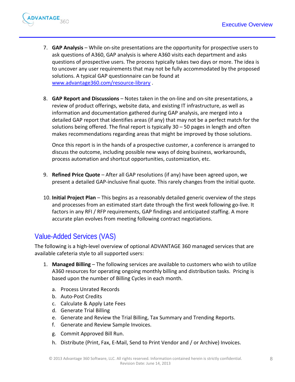

- 7. **GAP Analysis** While on-site presentations are the opportunity for prospective users to ask questions of A360, GAP analysis is where A360 visits each department and asks questions of prospective users. The process typically takes two days or more. The idea is to uncover any user requirements that may not be fully accommodated by the proposed solutions. A typical GAP questionnaire can be found at [www.advantage360.com/resource-library](http://www.advantage360.com/resource-library) .
- 8. **GAP Report and Discussions** Notes taken in the on-line and on-site presentations, a review of product offerings, website data, and existing IT infrastructure, as well as information and documentation gathered during GAP analysis, are merged into a detailed GAP report that identifies areas (if any) that may not be a perfect match for the solutions being offered. The final report is typically 30 – 50 pages in length and often makes recommendations regarding areas that might be improved by those solutions.

Once this report is in the hands of a prospective customer, a conference is arranged to discuss the outcome, including possible new ways of doing business, workarounds, process automation and shortcut opportunities, customization, etc.

- 9. **Refined Price Quote** After all GAP resolutions (if any) have been agreed upon, we present a detailed GAP-inclusive final quote. This rarely changes from the initial quote.
- 10. **Initial Project Plan** This begins as a reasonably detailed generic overview of the steps and processes from an estimated start date through the first week following go-live. It factors in any RFI / RFP requirements, GAP findings and anticipated staffing. A more accurate plan evolves from meeting following contract negotiations.

# <span id="page-7-0"></span>Value-Added Services (VAS)

The following is a high-level overview of optional ADVANTAGE 360 managed services that are available cafeteria style to all supported users:

- 1. **Managed Billing** The following services are available to customers who wish to utilize A360 resources for operating ongoing monthly billing and distribution tasks. Pricing is based upon the number of Billing Cycles in each month.
	- a. Process Unrated Records
	- b. Auto-Post Credits
	- c. Calculate & Apply Late Fees
	- d. Generate Trial Billing
	- e. Generate and Review the Trial Billing, Tax Summary and Trending Reports.
	- f. Generate and Review Sample Invoices.
	- g. Commit Approved Bill Run.
	- h. Distribute (Print, Fax, E-Mail, Send to Print Vendor and / or Archive) Invoices.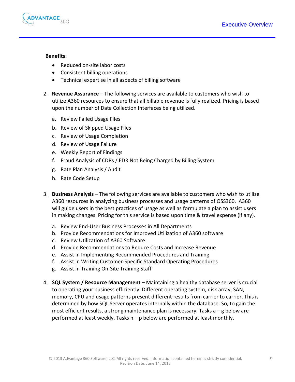

#### **Benefits:**

- Reduced on-site labor costs
- Consistent billing operations
- Technical expertise in all aspects of billing software
- 2. **Revenue Assurance** The following services are available to customers who wish to utilize A360 resources to ensure that all billable revenue is fully realized. Pricing is based upon the number of Data Collection Interfaces being utilized.
	- a. Review Failed Usage Files
	- b. Review of Skipped Usage Files
	- c. Review of Usage Completion
	- d. Review of Usage Failure
	- e. Weekly Report of Findings
	- f. Fraud Analysis of CDRs / EDR Not Being Charged by Billing System
	- g. Rate Plan Analysis / Audit
	- h. Rate Code Setup
- 3. **Business Analysis** The following services are available to customers who wish to utilize A360 resources in analyzing business processes and usage patterns of OSS360. A360 will guide users in the best practices of usage as well as formulate a plan to assist users in making changes. Pricing for this service is based upon time & travel expense (if any).
	- a. Review End-User Business Processes in All Departments
	- b. Provide Recommendations for Improved Utilization of A360 software
	- c. Review Utilization of A360 Software
	- d. Provide Recommendations to Reduce Costs and Increase Revenue
	- e. Assist in Implementing Recommended Procedures and Training
	- f. Assist in Writing Customer-Specific Standard Operating Procedures
	- g. Assist in Training On-Site Training Staff
- 4. **SQL System / Resource Management** Maintaining a healthy database server is crucial to operating your business efficiently. Different operating system, disk array, SAN, memory, CPU and usage patterns present different results from carrier to carrier. This is determined by how SQL Server operates internally within the database. So, to gain the most efficient results, a strong maintenance plan is necessary. Tasks a – g below are performed at least weekly. Tasks h – p below are performed at least monthly.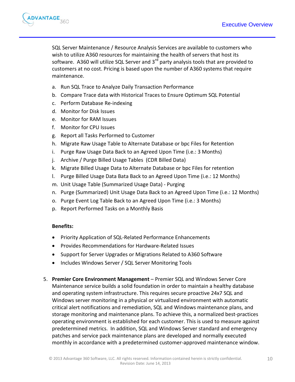

SQL Server Maintenance / Resource Analysis Services are available to customers who wish to utilize A360 resources for maintaining the health of servers that host its software. A360 will utilize SQL Server and  $3<sup>rd</sup>$  party analysis tools that are provided to customers at no cost. Pricing is based upon the number of A360 systems that require maintenance.

- a. Run SQL Trace to Analyze Daily Transaction Performance
- b. Compare Trace data with Historical Traces to Ensure Optimum SQL Potential
- c. Perform Database Re-indexing
- d. Monitor for Disk Issues
- e. Monitor for RAM Issues
- f. Monitor for CPU Issues
- g. Report all Tasks Performed to Customer
- h. Migrate Raw Usage Table to Alternate Database or bpc Files for Retention
- i. Purge Raw Usage Data Back to an Agreed Upon Time (i.e.: 3 Months)
- j. Archive / Purge Billed Usage Tables (CDR Billed Data)
- k. Migrate Billed Usage Data to Alternate Database or bpc Files for retention
- l. Purge Billed Usage Data Bata Back to an Agreed Upon Time (i.e.: 12 Months)
- m. Unit Usage Table (Summarized Usage Data) Purging
- n. Purge (Summarized) Unit Usage Data Back to an Agreed Upon Time (i.e.: 12 Months)
- o. Purge Event Log Table Back to an Agreed Upon Time (i.e.: 3 Months)
- p. Report Performed Tasks on a Monthly Basis

#### **Benefits:**

- Priority Application of SQL-Related Performance Enhancements
- Provides Recommendations for Hardware-Related Issues
- Support for Server Upgrades or Migrations Related to A360 Software
- Includes Windows Server / SQL Server Monitoring Tools
- 5. **Premier Core Environment Management** Premier SQL and Windows Server Core Maintenance service builds a solid foundation in order to maintain a healthy database and operating system infrastructure. This requires secure proactive 24x7 SQL and Windows server monitoring in a physical or virtualized environment with automatic critical alert notifications and remediation, SQL and Windows maintenance plans, and storage monitoring and maintenance plans. To achieve this, a normalized best-practices operating environment is established for each customer. This is used to measure against predetermined metrics. In addition, SQL and Windows Server standard and emergency patches and service pack maintenance plans are developed and normally executed monthly in accordance with a predetermined customer-approved maintenance window.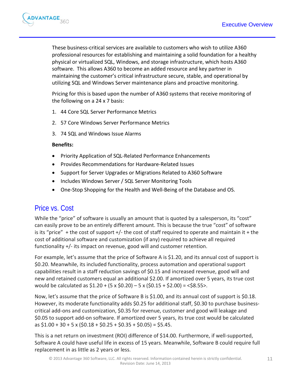

These business-critical services are available to customers who wish to utilize A360 professional resources for establishing and maintaining a solid foundation for a healthy physical or virtualized SQL, Windows, and storage infrastructure, which hosts A360 software. This allows A360 to become an added resource and key partner in maintaining the customer's critical infrastructure secure, stable, and operational by utilizing SQL and Windows Server maintenance plans and proactive monitoring.

Pricing for this is based upon the number of A360 systems that receive monitoring of the following on a 24 x 7 basis:

- 1. 44 Core SQL Server Performance Metrics
- 2. 57 Core Windows Server Performance Metrics
- 3. 74 SQL and Windows Issue Alarms

#### **Benefits:**

- Priority Application of SQL-Related Performance Enhancements
- Provides Recommendations for Hardware-Related Issues
- Support for Server Upgrades or Migrations Related to A360 Software
- Includes Windows Server / SQL Server Monitoring Tools
- One-Stop Shopping for the Health and Well-Being of the Database and OS.

#### <span id="page-10-0"></span>Price vs. Cost

While the "price" of software is usually an amount that is quoted by a salesperson, its "cost" can easily prove to be an entirely different amount. This is because the true "cost" of software is its "price" + the cost of support  $+/-$  the cost of staff required to operate and maintain it + the cost of additional software and customization (if any) required to achieve all required functionality +/- its impact on revenue, good will and customer retention.

For example, let's assume that the price of Software A is \$1.20, and its annual cost of support is \$0.20. Meanwhile, its included functionality, process automation and operational support capabilities result in a staff reduction savings of \$0.15 and increased revenue, good will and new and retained customers equal an additional \$2.00. If amortized over 5 years, its true cost would be calculated as  $$1.20 + (5 \times $0.20) - 5 \times ($0.15 + $2.00) = $8.55$ .

Now, let's assume that the price of Software B is \$1.00, and its annual cost of support is \$0.18. However, its moderate functionality adds \$0.25 for additional staff, \$0.30 to purchase businesscritical add-ons and customization, \$0.35 for revenue, customer and good will leakage and \$0.05 to support add-on software. If amortized over 5 years, its true cost would be calculated as \$1.00 + 30 + 5 x (\$0.18 + \$0.25 + \$0.35 + \$0.05) = \$5.45.

This is a net return on investment (ROI) difference of \$14.00. Furthermore, if well-supported, Software A could have useful life in excess of 15 years. Meanwhile, Software B could require full replacement in as little as 2 years or less.